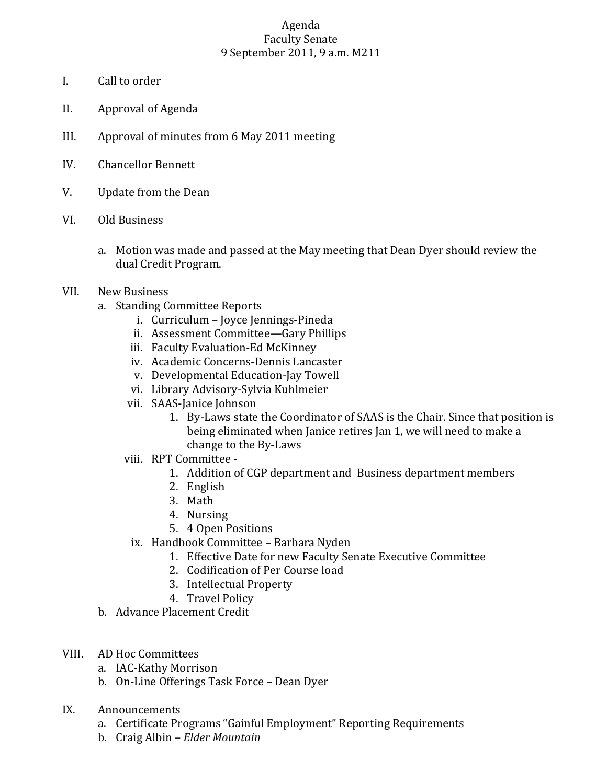## Agenda Faculty Senate 9 September 2011, 9 a.m. M211

- I. Call to order
- II. Approval of Agenda
- III. Approval of minutes from 6 May 2011 meeting
- IV. Chancellor Bennett
- V. Update from the Dean
- VI. Old Business
	- a. Motion was made and passed at the May meeting that Dean Dyer should review the dual Credit Program.
- VII. New Business
	- a. Standing Committee Reports
		- i. Curriculum Joyce Jennings-Pineda
		- ii. Assessment Committee—Gary Phillips
		- iii. Faculty Evaluation-Ed McKinney
		- iv. Academic Concerns-Dennis Lancaster
		- v. Developmental Education-Jay Towell
		- vi. Library Advisory-Sylvia Kuhlmeier
		- vii. SAAS-Janice Johnson
			- 1. By-Laws state the Coordinator of SAAS is the Chair. Since that position is being eliminated when Janice retires Jan 1, we will need to make a change to the By-Laws
		- viii. RPT Committee
			- 1. Addition of CGP department and Business department members
			- 2. English
			- 3. Math
			- 4. Nursing
			- 5. 4 Open Positions
			- ix. Handbook Committee Barbara Nyden
				- 1. Effective Date for new Faculty Senate Executive Committee
				- 2. Codification of Per Course load
				- 3. Intellectual Property
				- 4. Travel Policy
	- b. Advance Placement Credit
- VIII. AD Hoc Committees
	- a. IAC-Kathy Morrison
	- b. On-Line Offerings Task Force Dean Dyer
- IX. Announcements
	- a. Certificate Programs "Gainful Employment" Reporting Requirements
	- b. Craig Albin *Elder Mountain*